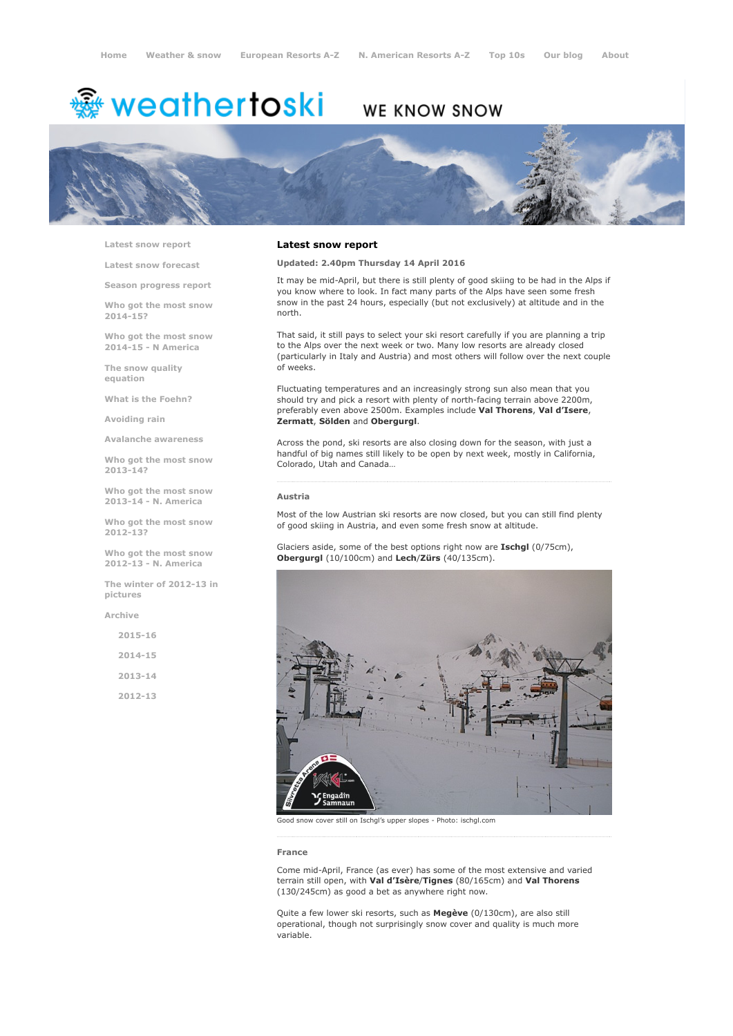# <sup>霧</sup> weathertoski

# WE KNOW SNOW



Latest snow [report](http://www.weathertoski.co.uk/weather-snow/latest-snow-report/)

Latest snow [forecast](http://www.weathertoski.co.uk/weather-snow/latest-snow-forecast/)

Season [progress](http://www.weathertoski.co.uk/weather-snow/season-progress-report/) report

Who got the most snow 2014-15?

Who got the most snow 2014-15 - N America

The snow quality [equation](http://www.weathertoski.co.uk/weather-snow/the-snow-quality-equation/)

What is the [Foehn?](http://www.weathertoski.co.uk/weather-snow/what-is-the-foehn/)

[Avoiding](http://www.weathertoski.co.uk/weather-snow/avoiding-rain/) rain

Avalanche [awareness](http://www.weathertoski.co.uk/weather-snow/avalanche-awareness/)

Who got the most snow 2013-14?

Who got the most snow 2013-14 - N. America

Who got the most snow 2012-13?

Who got the most snow 2012-13 - N. America

The winter of 2012-13 in pictures

[Archive](http://www.weathertoski.co.uk/weather-snow/archive/)

2015-16 2014-15 2013-14 2012-13

#### Latest snow report

Updated: 2.40pm Thursday 14 April 2016

It may be mid-April, but there is still plenty of good skiing to be had in the Alps if you know where to look. In fact many parts of the Alps have seen some fresh snow in the past 24 hours, especially (but not exclusively) at altitude and in the north.

That said, it still pays to select your ski resort carefully if you are planning a trip to the Alps over the next week or two. Many low resorts are already closed (particularly in Italy and Austria) and most others will follow over the next couple of weeks.

Fluctuating temperatures and an increasingly strong sun also mean that you should try and pick a resort with plenty of north-facing terrain above 2200m, preferably even above 2500m. Examples include Val Thorens, Val d'Isere, Zermatt, Sölden and Obergurgl.

Across the pond, ski resorts are also closing down for the season, with just a handful of big names still likely to be open by next week, mostly in California, Colorado, Utah and Canada…

### Austria

Most of the low Austrian ski resorts are now closed, but you can still find plenty of good skiing in Austria, and even some fresh snow at altitude.

Glaciers aside, some of the best options right now are Ischgl (0/75cm), Obergurgl (10/100cm) and Lech/Zürs (40/135cm).



Good snow cover still on Ischgl's upper slopes Photo: ischgl.com

#### France

Come mid-April, France (as ever) has some of the most extensive and varied terrain still open, with Val d'Isère/Tignes (80/165cm) and Val Thorens (130/245cm) as good a bet as anywhere right now.

Quite a few lower ski resorts, such as Megève (0/130cm), are also still operational, though not surprisingly snow cover and quality is much more variable.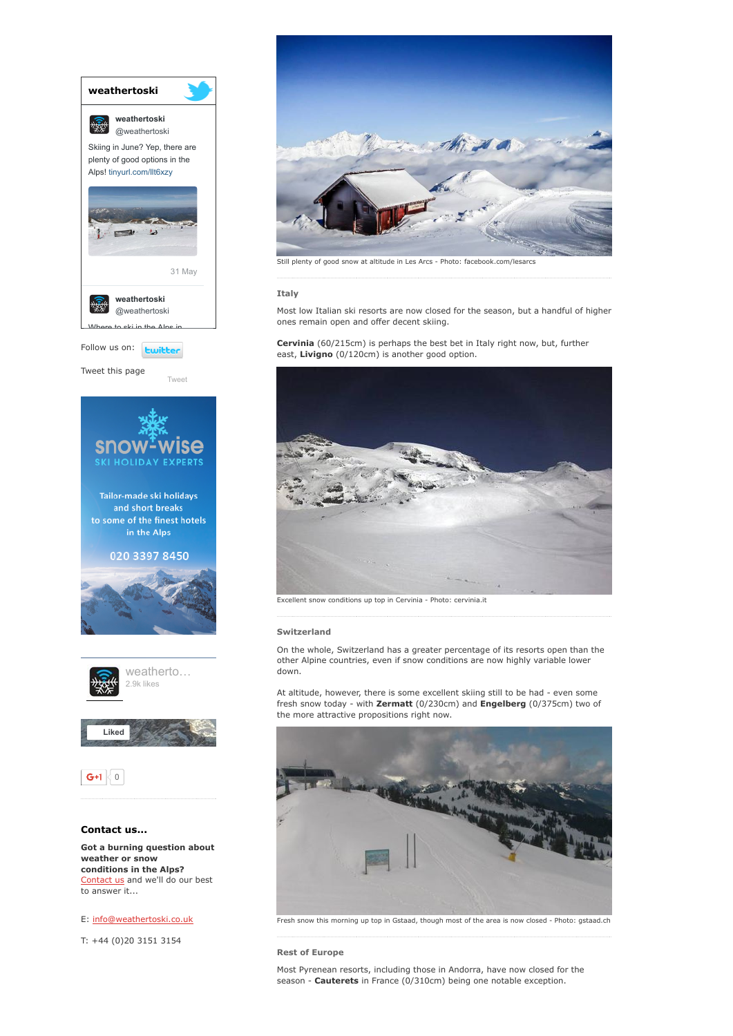

conditions in the Alps? [Contact](http://www.weathertoski.co.uk/about-1/contact-us/) us and we'll do our best to answer it...

E: [info@weathertoski.co.uk](mailto:fraser@weathertoski.co.uk)

T: +44 (0)20 3151 3154



Still plenty of good snow at altitude in Les Arcs - Photo: facebook.com/lesarcs

#### Italy

Most low Italian ski resorts are now closed for the season, but a handful of higher ones remain open and offer decent skiing.

## Cervinia (60/215cm) is perhaps the best bet in Italy right now, but, further east, Livigno (0/120cm) is another good option.



Excellent snow conditions up top in Cervinia - Photo: cervinia.it

### Switzerland

On the whole, Switzerland has a greater percentage of its resorts open than the other Alpine countries, even if snow conditions are now highly variable lower down.

At altitude, however, there is some excellent skiing still to be had - even some fresh snow today - with Zermatt (0/230cm) and Engelberg (0/375cm) two of the more attractive propositions right now.



Fresh snow this morning up top in Gstaad, though most of the area is now closed - Photo: gstaad.ch 

Rest of Europe

Most Pyrenean resorts, including those in Andorra, have now closed for the season - **Cauterets** in France (0/310cm) being one notable exception.